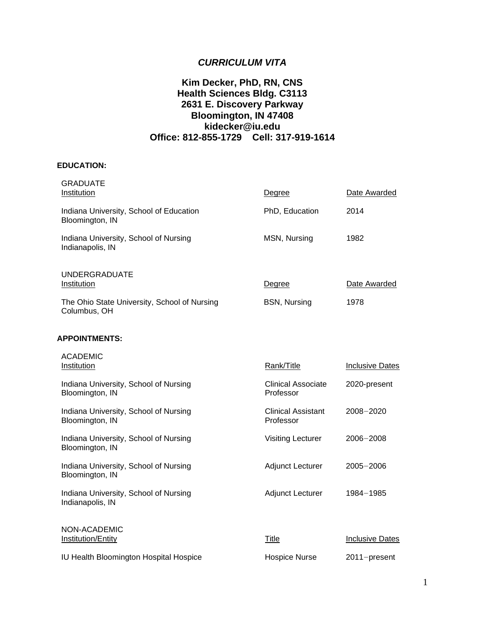# *CURRICULUM VITA*

### **Kim Decker, PhD, RN, CNS Health Sciences Bldg. C3113 2631 E. Discovery Parkway Bloomington, IN 47408 kidecker@iu.edu Office: 812-855-1729 Cell: 317-919-1614**

### **EDUCATION:**

| <b>GRADUATE</b><br>Institution                               | Degree                                 | Date Awarded           |
|--------------------------------------------------------------|----------------------------------------|------------------------|
| Indiana University, School of Education<br>Bloomington, IN   | PhD, Education                         | 2014                   |
| Indiana University, School of Nursing<br>Indianapolis, IN    | MSN, Nursing                           | 1982                   |
| <b>UNDERGRADUATE</b><br>Institution                          | Degree                                 | Date Awarded           |
| The Ohio State University, School of Nursing<br>Columbus, OH | <b>BSN, Nursing</b>                    | 1978                   |
| <b>APPOINTMENTS:</b>                                         |                                        |                        |
| <b>ACADEMIC</b><br>Institution                               | Rank/Title                             | <b>Inclusive Dates</b> |
| Indiana University, School of Nursing<br>Bloomington, IN     | <b>Clinical Associate</b><br>Professor | 2020-present           |
| Indiana University, School of Nursing<br>Bloomington, IN     | <b>Clinical Assistant</b><br>Professor | 2008-2020              |
| Indiana University, School of Nursing<br>Bloomington, IN     | <b>Visiting Lecturer</b>               | 2006-2008              |
| Indiana University, School of Nursing<br>Bloomington, IN     | Adjunct Lecturer                       | $2005 - 2006$          |
| Indiana University, School of Nursing<br>Indianapolis, IN    | <b>Adjunct Lecturer</b>                | 1984-1985              |
| NON-ACADEMIC<br>Institution/Entity                           | <b>Title</b>                           | <b>Inclusive Dates</b> |
| IU Health Bloomington Hospital Hospice                       | <b>Hospice Nurse</b>                   | 2011-present           |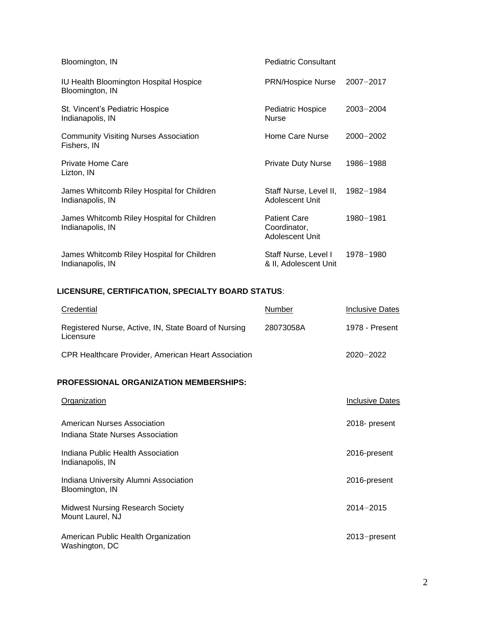| Bloomington, IN                                                | <b>Pediatric Consultant</b>                            |               |
|----------------------------------------------------------------|--------------------------------------------------------|---------------|
| IU Health Bloomington Hospital Hospice<br>Bloomington, IN      | <b>PRN/Hospice Nurse</b>                               | 2007-2017     |
| St. Vincent's Pediatric Hospice<br>Indianapolis, IN            | <b>Pediatric Hospice</b><br><b>Nurse</b>               | $2003 - 2004$ |
| <b>Community Visiting Nurses Association</b><br>Fishers, IN    | Home Care Nurse                                        | $2000 - 2002$ |
| Private Home Care<br>Lizton, IN                                | <b>Private Duty Nurse</b>                              | 1986-1988     |
| James Whitcomb Riley Hospital for Children<br>Indianapolis, IN | Staff Nurse, Level II,<br>Adolescent Unit              | 1982-1984     |
| James Whitcomb Riley Hospital for Children<br>Indianapolis, IN | <b>Patient Care</b><br>Coordinator,<br>Adolescent Unit | 1980-1981     |
| James Whitcomb Riley Hospital for Children<br>Indianapolis, IN | Staff Nurse, Level I<br>& II, Adolescent Unit          | 1978-1980     |

# **LICENSURE, CERTIFICATION, SPECIALTY BOARD STATUS**:

| Credential                                                        | Number    | <b>Inclusive Dates</b> |
|-------------------------------------------------------------------|-----------|------------------------|
| Registered Nurse, Active, IN, State Board of Nursing<br>Licensure | 28073058A | 1978 - Present         |
| <b>CPR Healthcare Provider, American Heart Association</b>        |           | $2020 - 2022$          |
| <b>PROFESSIONAL ORGANIZATION MEMBERSHIPS:</b>                     |           |                        |
| <b>Organization</b>                                               |           | <b>Inclusive Dates</b> |
| American Nurses Association<br>Indiana State Nurses Association   |           | 2018- present          |
| Indiana Public Health Association<br>Indianapolis, IN             |           | 2016-present           |
| Indiana University Alumni Association<br>Bloomington, IN          |           | 2016-present           |
| <b>Midwest Nursing Research Society</b><br>Mount Laurel, NJ       |           | $2014 - 2015$          |
| American Public Health Organization<br>Washington, DC             |           | 2013-present           |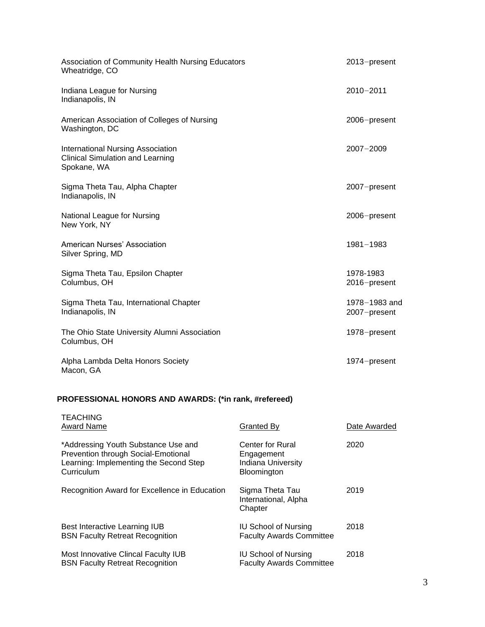| Association of Community Health Nursing Educators<br>Wheatridge, CO                                | $2013$ -present               |
|----------------------------------------------------------------------------------------------------|-------------------------------|
| Indiana League for Nursing<br>Indianapolis, IN                                                     | $2010 - 2011$                 |
| American Association of Colleges of Nursing<br>Washington, DC                                      | 2006-present                  |
| <b>International Nursing Association</b><br><b>Clinical Simulation and Learning</b><br>Spokane, WA | $2007 - 2009$                 |
| Sigma Theta Tau, Alpha Chapter<br>Indianapolis, IN                                                 | 2007-present                  |
| National League for Nursing<br>New York, NY                                                        | 2006-present                  |
| American Nurses' Association<br>Silver Spring, MD                                                  | 1981-1983                     |
| Sigma Theta Tau, Epsilon Chapter<br>Columbus, OH                                                   | 1978-1983<br>2016-present     |
| Sigma Theta Tau, International Chapter<br>Indianapolis, IN                                         | 1978-1983 and<br>2007-present |
| The Ohio State University Alumni Association<br>Columbus, OH                                       | 1978-present                  |
| Alpha Lambda Delta Honors Society<br>Macon, GA                                                     | 1974-present                  |

# **PROFESSIONAL HONORS AND AWARDS: (\*in rank, #refereed)**

| <b>TEACHING</b><br><b>Award Name</b>                                                                                               | Granted By                                                                        | Date Awarded |
|------------------------------------------------------------------------------------------------------------------------------------|-----------------------------------------------------------------------------------|--------------|
| *Addressing Youth Substance Use and<br>Prevention through Social-Emotional<br>Learning: Implementing the Second Step<br>Curriculum | Center for Rural<br>Engagement<br><b>Indiana University</b><br><b>Bloomington</b> | 2020         |
| Recognition Award for Excellence in Education                                                                                      | Sigma Theta Tau<br>International, Alpha<br>Chapter                                | 2019         |
| Best Interactive Learning IUB<br><b>BSN Faculty Retreat Recognition</b>                                                            | <b>IU School of Nursing</b><br><b>Faculty Awards Committee</b>                    | 2018         |
| Most Innovative Clincal Faculty IUB<br><b>BSN Faculty Retreat Recognition</b>                                                      | <b>IU School of Nursing</b><br><b>Faculty Awards Committee</b>                    | 2018         |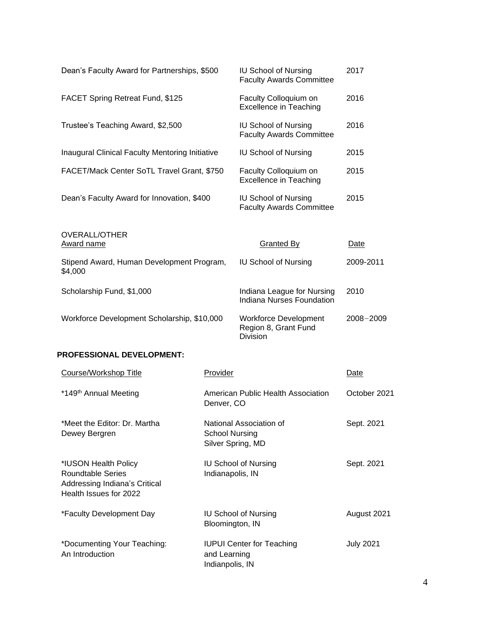| Dean's Faculty Award for Partnerships, \$500                                                                |                                 | <b>IU School of Nursing</b><br><b>Faculty Awards Committee</b>          | 2017             |
|-------------------------------------------------------------------------------------------------------------|---------------------------------|-------------------------------------------------------------------------|------------------|
| <b>FACET Spring Retreat Fund, \$125</b>                                                                     |                                 | Faculty Colloquium on<br><b>Excellence in Teaching</b>                  | 2016             |
| Trustee's Teaching Award, \$2,500                                                                           |                                 | <b>IU School of Nursing</b><br><b>Faculty Awards Committee</b>          | 2016             |
| <b>Inaugural Clinical Faculty Mentoring Initiative</b>                                                      |                                 | <b>IU School of Nursing</b>                                             | 2015             |
| FACET/Mack Center SoTL Travel Grant, \$750                                                                  |                                 | Faculty Colloquium on<br><b>Excellence in Teaching</b>                  | 2015             |
| Dean's Faculty Award for Innovation, \$400                                                                  |                                 | <b>IU School of Nursing</b><br><b>Faculty Awards Committee</b>          | 2015             |
| <b>OVERALL/OTHER</b><br><b>Award name</b>                                                                   |                                 | <b>Granted By</b>                                                       | Date             |
| Stipend Award, Human Development Program,<br>\$4,000                                                        |                                 | <b>IU School of Nursing</b>                                             | 2009-2011        |
| Scholarship Fund, \$1,000                                                                                   |                                 | Indiana League for Nursing<br>Indiana Nurses Foundation                 | 2010             |
| Workforce Development Scholarship, \$10,000                                                                 |                                 | <b>Workforce Development</b><br>Region 8, Grant Fund<br><b>Division</b> | $2008 - 2009$    |
| <b>PROFESSIONAL DEVELOPMENT:</b>                                                                            |                                 |                                                                         |                  |
| Course/Workshop Title                                                                                       | Provider                        |                                                                         | Date             |
| *149 <sup>th</sup> Annual Meeting                                                                           | Denver, CO                      | American Public Health Association                                      | October 2021     |
| *Meet the Editor: Dr. Martha<br>Dewey Bergren                                                               | <b>School Nursing</b>           | National Association of<br>Silver Spring, MD                            | Sept. 2021       |
| *IUSON Health Policy<br><b>Roundtable Series</b><br>Addressing Indiana's Critical<br>Health Issues for 2022 | Indianapolis, IN                | <b>IU School of Nursing</b>                                             | Sept. 2021       |
| *Faculty Development Day                                                                                    | Bloomington, IN                 | <b>IU School of Nursing</b>                                             | August 2021      |
| *Documenting Your Teaching:<br>An Introduction                                                              | and Learning<br>Indianpolis, IN | <b>IUPUI Center for Teaching</b>                                        | <b>July 2021</b> |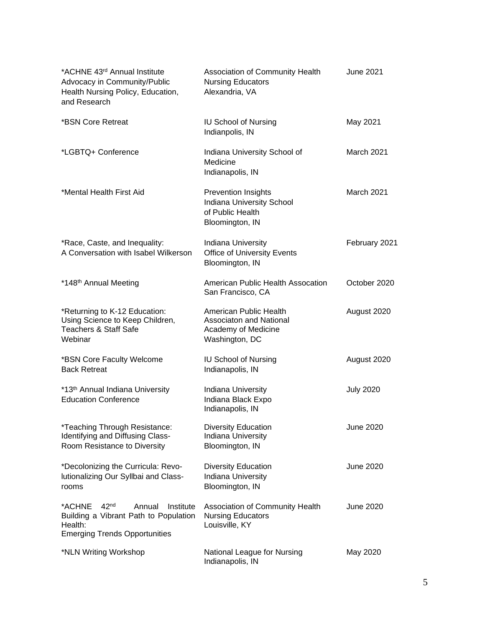| *ACHNE 43rd Annual Institute<br>Advocacy in Community/Public<br>Health Nursing Policy, Education,<br>and Research                             | Association of Community Health<br><b>Nursing Educators</b><br>Alexandria, VA                  | <b>June 2021</b> |
|-----------------------------------------------------------------------------------------------------------------------------------------------|------------------------------------------------------------------------------------------------|------------------|
| *BSN Core Retreat                                                                                                                             | <b>IU School of Nursing</b><br>Indianpolis, IN                                                 | May 2021         |
| *LGBTQ+ Conference                                                                                                                            | Indiana University School of<br>Medicine<br>Indianapolis, IN                                   | March 2021       |
| *Mental Health First Aid                                                                                                                      | <b>Prevention Insights</b><br>Indiana University School<br>of Public Health<br>Bloomington, IN | March 2021       |
| *Race, Caste, and Inequality:<br>A Conversation with Isabel Wilkerson                                                                         | Indiana University<br><b>Office of University Events</b><br>Bloomington, IN                    | February 2021    |
| *148 <sup>th</sup> Annual Meeting                                                                                                             | American Public Health Assocation<br>San Francisco, CA                                         | October 2020     |
| *Returning to K-12 Education:<br>Using Science to Keep Children,<br><b>Teachers &amp; Staff Safe</b><br>Webinar                               | American Public Health<br>Associaton and National<br>Academy of Medicine<br>Washington, DC     | August 2020      |
| *BSN Core Faculty Welcome<br><b>Back Retreat</b>                                                                                              | <b>IU School of Nursing</b><br>Indianapolis, IN                                                | August 2020      |
| *13th Annual Indiana University<br><b>Education Conference</b>                                                                                | Indiana University<br>Indiana Black Expo<br>Indianapolis, IN                                   | <b>July 2020</b> |
| *Teaching Through Resistance:<br>Identifying and Diffusing Class-<br>Room Resistance to Diversity                                             | <b>Diversity Education</b><br>Indiana University<br>Bloomington, IN                            | June 2020        |
| *Decolonizing the Curricula: Revo-<br>lutionalizing Our Syllbai and Class-<br>rooms                                                           | <b>Diversity Education</b><br>Indiana University<br>Bloomington, IN                            | <b>June 2020</b> |
| 42 <sup>nd</sup><br>*ACHNE<br>Annual<br>Institute<br>Building a Vibrant Path to Population<br>Health:<br><b>Emerging Trends Opportunities</b> | Association of Community Health<br><b>Nursing Educators</b><br>Louisville, KY                  | June 2020        |
| *NLN Writing Workshop                                                                                                                         | National League for Nursing<br>Indianapolis, IN                                                | May 2020         |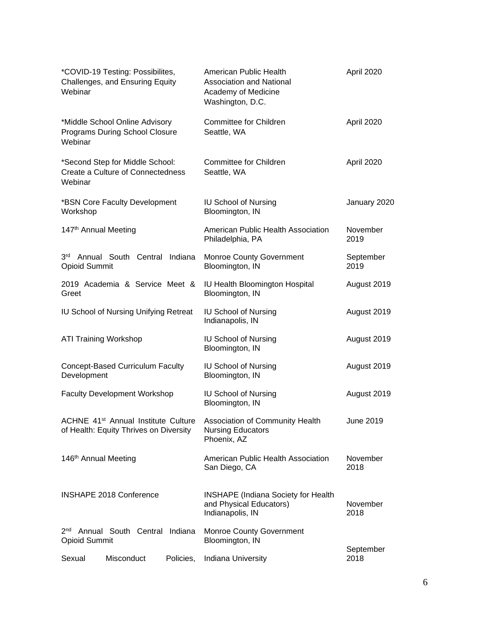| *COVID-19 Testing: Possibilites,<br>Challenges, and Ensuring Equity<br>Webinar            | American Public Health<br>Association and National<br>Academy of Medicine<br>Washington, D.C. | April 2020        |
|-------------------------------------------------------------------------------------------|-----------------------------------------------------------------------------------------------|-------------------|
| *Middle School Online Advisory<br>Programs During School Closure<br>Webinar               | Committee for Children<br>Seattle, WA                                                         | April 2020        |
| *Second Step for Middle School:<br>Create a Culture of Connectedness<br>Webinar           | <b>Committee for Children</b><br>Seattle, WA                                                  | April 2020        |
| *BSN Core Faculty Development<br>Workshop                                                 | <b>IU School of Nursing</b><br>Bloomington, IN                                                | January 2020      |
| 147th Annual Meeting                                                                      | American Public Health Association<br>Philadelphia, PA                                        | November<br>2019  |
| 3 <sup>rd</sup><br>Annual South Central Indiana<br><b>Opioid Summit</b>                   | <b>Monroe County Government</b><br>Bloomington, IN                                            | September<br>2019 |
| 2019 Academia & Service Meet &<br>Greet                                                   | IU Health Bloomington Hospital<br>Bloomington, IN                                             | August 2019       |
| IU School of Nursing Unifying Retreat                                                     | <b>IU School of Nursing</b><br>Indianapolis, IN                                               | August 2019       |
| <b>ATI Training Workshop</b>                                                              | <b>IU School of Nursing</b><br>Bloomington, IN                                                | August 2019       |
| <b>Concept-Based Curriculum Faculty</b><br>Development                                    | <b>IU School of Nursing</b><br>Bloomington, IN                                                | August 2019       |
| <b>Faculty Development Workshop</b>                                                       | <b>IU School of Nursing</b><br>Bloomington, IN                                                | August 2019       |
| ACHNE 41 <sup>st</sup> Annual Institute Culture<br>of Health: Equity Thrives on Diversity | Association of Community Health<br><b>Nursing Educators</b><br>Phoenix, AZ                    | <b>June 2019</b>  |
| 146 <sup>th</sup> Annual Meeting                                                          | American Public Health Association<br>San Diego, CA                                           | November<br>2018  |
| <b>INSHAPE 2018 Conference</b>                                                            | <b>INSHAPE</b> (Indiana Society for Health<br>and Physical Educators)<br>Indianapolis, IN     | November<br>2018  |
| Annual South Central Indiana<br>2 <sub>nd</sub><br><b>Opioid Summit</b>                   | <b>Monroe County Government</b><br>Bloomington, IN                                            | September         |
| Sexual<br>Misconduct<br>Policies,                                                         | Indiana University                                                                            | 2018              |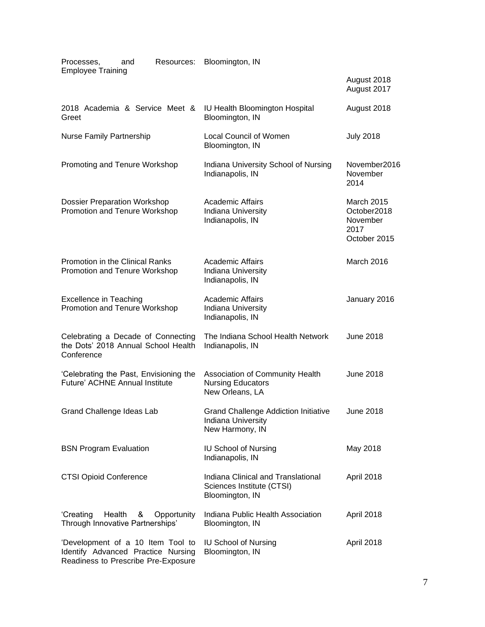| Processes,<br>and<br>Resources:<br><b>Employee Training</b>                                                    | Bloomington, IN                                                                      |                                                               |
|----------------------------------------------------------------------------------------------------------------|--------------------------------------------------------------------------------------|---------------------------------------------------------------|
|                                                                                                                |                                                                                      | August 2018<br>August 2017                                    |
| 2018 Academia & Service Meet &<br>Greet                                                                        | IU Health Bloomington Hospital<br>Bloomington, IN                                    | August 2018                                                   |
| <b>Nurse Family Partnership</b>                                                                                | <b>Local Council of Women</b><br>Bloomington, IN                                     | <b>July 2018</b>                                              |
| Promoting and Tenure Workshop                                                                                  | Indiana University School of Nursing<br>Indianapolis, IN                             | November2016<br>November<br>2014                              |
| <b>Dossier Preparation Workshop</b><br>Promotion and Tenure Workshop                                           | <b>Academic Affairs</b><br>Indiana University<br>Indianapolis, IN                    | March 2015<br>October2018<br>November<br>2017<br>October 2015 |
| Promotion in the Clinical Ranks<br>Promotion and Tenure Workshop                                               | <b>Academic Affairs</b><br>Indiana University<br>Indianapolis, IN                    | March 2016                                                    |
| <b>Excellence in Teaching</b><br>Promotion and Tenure Workshop                                                 | <b>Academic Affairs</b><br>Indiana University<br>Indianapolis, IN                    | January 2016                                                  |
| Celebrating a Decade of Connecting<br>the Dots' 2018 Annual School Health<br>Conference                        | The Indiana School Health Network<br>Indianapolis, IN                                | <b>June 2018</b>                                              |
| 'Celebrating the Past, Envisioning the<br>Future' ACHNE Annual Institute                                       | Association of Community Health<br><b>Nursing Educators</b><br>New Orleans, LA       | <b>June 2018</b>                                              |
| Grand Challenge Ideas Lab                                                                                      | <b>Grand Challenge Addiction Initiative</b><br>Indiana University<br>New Harmony, IN | June 2018                                                     |
| <b>BSN Program Evaluation</b>                                                                                  | <b>IU School of Nursing</b><br>Indianapolis, IN                                      | May 2018                                                      |
| <b>CTSI Opioid Conference</b>                                                                                  | Indiana Clinical and Translational<br>Sciences Institute (CTSI)<br>Bloomington, IN   | April 2018                                                    |
| 'Creating<br>Health<br>Opportunity<br>&<br>Through Innovative Partnerships'                                    | Indiana Public Health Association<br>Bloomington, IN                                 | April 2018                                                    |
| 'Development of a 10 Item Tool to<br>Identify Advanced Practice Nursing<br>Readiness to Prescribe Pre-Exposure | <b>IU School of Nursing</b><br>Bloomington, IN                                       | April 2018                                                    |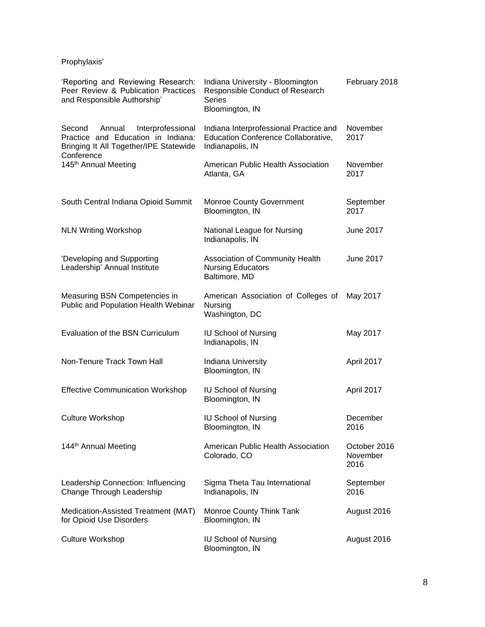Prophylaxis'

| 'Reporting and Reviewing Research:<br>Peer Review & Publication Practices<br>and Responsible Authorship'              | Indiana University - Bloomington<br>Responsible Conduct of Research<br><b>Series</b><br>Bloomington, IN | February 2018                    |
|-----------------------------------------------------------------------------------------------------------------------|---------------------------------------------------------------------------------------------------------|----------------------------------|
| Second<br>Annual<br>Interprofessional<br>Practice and Education in Indiana:<br>Bringing It All Together/IPE Statewide | Indiana Interprofessional Practice and<br>Education Conference Collaborative,<br>Indianapolis, IN       | November<br>2017                 |
| Conference<br>145 <sup>th</sup> Annual Meeting                                                                        | American Public Health Association<br>Atlanta, GA                                                       | November<br>2017                 |
| South Central Indiana Opioid Summit                                                                                   | <b>Monroe County Government</b><br>Bloomington, IN                                                      | September<br>2017                |
| <b>NLN Writing Workshop</b>                                                                                           | National League for Nursing<br>Indianapolis, IN                                                         | <b>June 2017</b>                 |
| 'Developing and Supporting<br>Leadership' Annual Institute                                                            | Association of Community Health<br><b>Nursing Educators</b><br>Baltimore, MD                            | <b>June 2017</b>                 |
| Measuring BSN Competencies in<br>Public and Population Health Webinar                                                 | American Association of Colleges of<br>Nursing<br>Washington, DC                                        | May 2017                         |
| Evaluation of the BSN Curriculum                                                                                      | <b>IU School of Nursing</b><br>Indianapolis, IN                                                         | May 2017                         |
| Non-Tenure Track Town Hall                                                                                            | Indiana University<br>Bloomington, IN                                                                   | April 2017                       |
| <b>Effective Communication Workshop</b>                                                                               | <b>IU School of Nursing</b><br>Bloomington, IN                                                          | April 2017                       |
| <b>Culture Workshop</b>                                                                                               | <b>IU School of Nursing</b><br>Bloomington, IN                                                          | December<br>2016                 |
| 144 <sup>th</sup> Annual Meeting                                                                                      | American Public Health Association<br>Colorado, CO                                                      | October 2016<br>November<br>2016 |
| Leadership Connection: Influencing<br>Change Through Leadership                                                       | Sigma Theta Tau International<br>Indianapolis, IN                                                       | September<br>2016                |
| Medication-Assisted Treatment (MAT)<br>for Opioid Use Disorders                                                       | Monroe County Think Tank<br>Bloomington, IN                                                             | August 2016                      |
| <b>Culture Workshop</b>                                                                                               | <b>IU School of Nursing</b><br>Bloomington, IN                                                          | August 2016                      |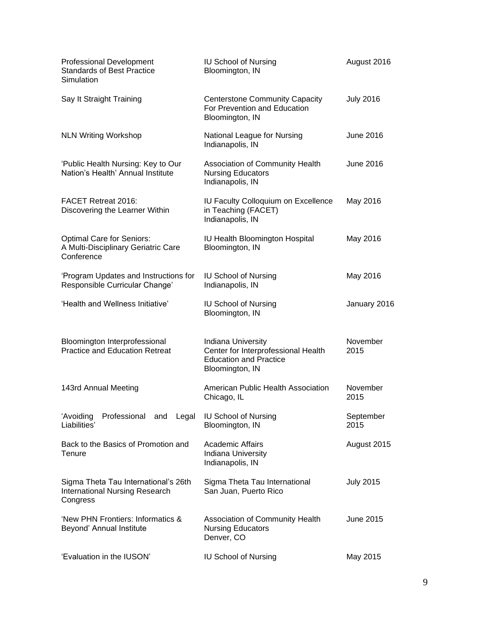| <b>Professional Development</b><br><b>Standards of Best Practice</b><br>Simulation        | <b>IU School of Nursing</b><br>Bloomington, IN                                                                | August 2016       |
|-------------------------------------------------------------------------------------------|---------------------------------------------------------------------------------------------------------------|-------------------|
| Say It Straight Training                                                                  | <b>Centerstone Community Capacity</b><br>For Prevention and Education<br>Bloomington, IN                      | <b>July 2016</b>  |
| <b>NLN Writing Workshop</b>                                                               | National League for Nursing<br>Indianapolis, IN                                                               | June 2016         |
| 'Public Health Nursing: Key to Our<br>Nation's Health' Annual Institute                   | Association of Community Health<br><b>Nursing Educators</b><br>Indianapolis, IN                               | June 2016         |
| <b>FACET Retreat 2016:</b><br>Discovering the Learner Within                              | IU Faculty Colloquium on Excellence<br>in Teaching (FACET)<br>Indianapolis, IN                                | May 2016          |
| <b>Optimal Care for Seniors:</b><br>A Multi-Disciplinary Geriatric Care<br>Conference     | IU Health Bloomington Hospital<br>Bloomington, IN                                                             | May 2016          |
| 'Program Updates and Instructions for<br>Responsible Curricular Change'                   | <b>IU School of Nursing</b><br>Indianapolis, IN                                                               | May 2016          |
| 'Health and Wellness Initiative'                                                          | <b>IU School of Nursing</b><br>Bloomington, IN                                                                | January 2016      |
| Bloomington Interprofessional<br><b>Practice and Education Retreat</b>                    | Indiana University<br>Center for Interprofessional Health<br><b>Education and Practice</b><br>Bloomington, IN | November<br>2015  |
| 143rd Annual Meeting                                                                      | American Public Health Association<br>Chicago, IL                                                             | November<br>2015  |
| Professional<br>'Avoiding<br>and Legal<br>Liabilities'                                    | <b>IU School of Nursing</b><br>Bloomington, IN                                                                | September<br>2015 |
| Back to the Basics of Promotion and<br>Tenure                                             | <b>Academic Affairs</b><br>Indiana University<br>Indianapolis, IN                                             | August 2015       |
| Sigma Theta Tau International's 26th<br><b>International Nursing Research</b><br>Congress | Sigma Theta Tau International<br>San Juan, Puerto Rico                                                        | <b>July 2015</b>  |
| 'New PHN Frontiers: Informatics &<br>Beyond' Annual Institute                             | Association of Community Health<br><b>Nursing Educators</b><br>Denver, CO                                     | June 2015         |
| 'Evaluation in the IUSON'                                                                 | <b>IU School of Nursing</b>                                                                                   | May 2015          |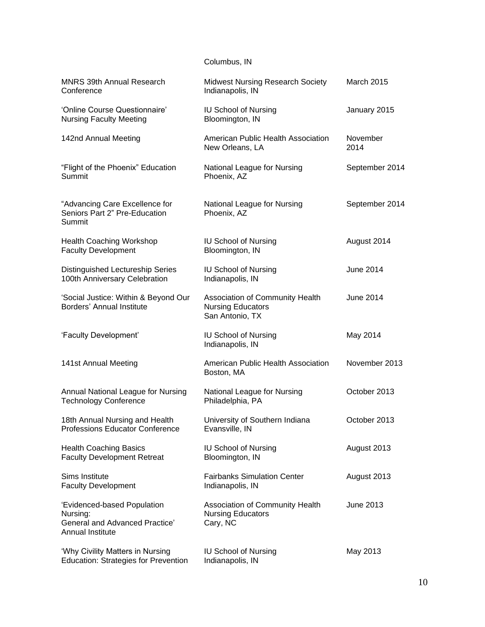Columbus, IN

| <b>MNRS 39th Annual Research</b><br>Conference                                                       | <b>Midwest Nursing Research Society</b><br>Indianapolis, IN                    | <b>March 2015</b> |
|------------------------------------------------------------------------------------------------------|--------------------------------------------------------------------------------|-------------------|
| 'Online Course Questionnaire'<br><b>Nursing Faculty Meeting</b>                                      | <b>IU School of Nursing</b><br>Bloomington, IN                                 | January 2015      |
| 142nd Annual Meeting                                                                                 | American Public Health Association<br>New Orleans, LA                          | November<br>2014  |
| "Flight of the Phoenix" Education<br>Summit                                                          | National League for Nursing<br>Phoenix, AZ                                     | September 2014    |
| "Advancing Care Excellence for<br>Seniors Part 2" Pre-Education<br>Summit                            | National League for Nursing<br>Phoenix, AZ                                     | September 2014    |
| <b>Health Coaching Workshop</b><br><b>Faculty Development</b>                                        | <b>IU School of Nursing</b><br>Bloomington, IN                                 | August 2014       |
| Distinguished Lectureship Series<br>100th Anniversary Celebration                                    | <b>IU School of Nursing</b><br>Indianapolis, IN                                | June 2014         |
| 'Social Justice: Within & Beyond Our<br><b>Borders' Annual Institute</b>                             | Association of Community Health<br><b>Nursing Educators</b><br>San Antonio, TX | June 2014         |
| 'Faculty Development'                                                                                | <b>IU School of Nursing</b><br>Indianapolis, IN                                | May 2014          |
| 141st Annual Meeting                                                                                 | American Public Health Association<br>Boston, MA                               | November 2013     |
| Annual National League for Nursing<br><b>Technology Conference</b>                                   | National League for Nursing<br>Philadelphia, PA                                | October 2013      |
| 18th Annual Nursing and Health<br>Professions Educator Conference                                    | University of Southern Indiana<br>Evansville, IN                               | October 2013      |
| <b>Health Coaching Basics</b><br><b>Faculty Development Retreat</b>                                  | <b>IU School of Nursing</b><br>Bloomington, IN                                 | August 2013       |
| Sims Institute<br><b>Faculty Development</b>                                                         | <b>Fairbanks Simulation Center</b><br>Indianapolis, IN                         | August 2013       |
| 'Evidenced-based Population<br>Nursing:<br><b>General and Advanced Practice'</b><br>Annual Institute | Association of Community Health<br><b>Nursing Educators</b><br>Cary, NC        | <b>June 2013</b>  |
| 'Why Civility Matters in Nursing<br><b>Education: Strategies for Prevention</b>                      | <b>IU School of Nursing</b><br>Indianapolis, IN                                | May 2013          |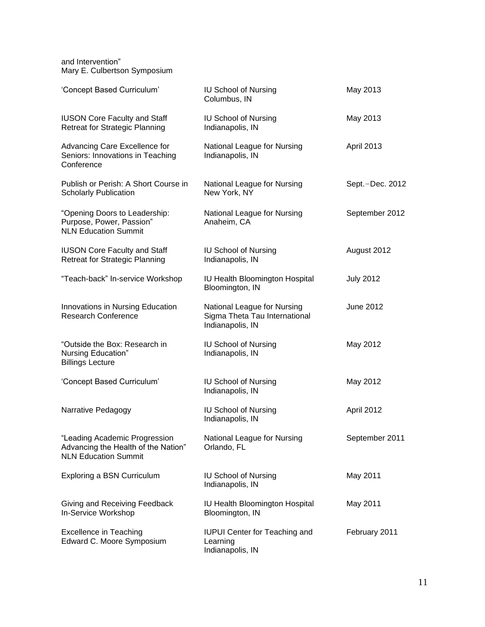and Intervention" Mary E. Culbertson Symposium

| 'Concept Based Curriculum'                                                                          | <b>IU School of Nursing</b><br>Columbus, IN                                      | May 2013          |
|-----------------------------------------------------------------------------------------------------|----------------------------------------------------------------------------------|-------------------|
| <b>IUSON Core Faculty and Staff</b><br><b>Retreat for Strategic Planning</b>                        | <b>IU School of Nursing</b><br>Indianapolis, IN                                  | May 2013          |
| Advancing Care Excellence for<br>Seniors: Innovations in Teaching<br>Conference                     | National League for Nursing<br>Indianapolis, IN                                  | <b>April 2013</b> |
| Publish or Perish: A Short Course in<br><b>Scholarly Publication</b>                                | National League for Nursing<br>New York, NY                                      | Sept.-Dec. 2012   |
| "Opening Doors to Leadership:<br>Purpose, Power, Passion"<br><b>NLN Education Summit</b>            | National League for Nursing<br>Anaheim, CA                                       | September 2012    |
| <b>IUSON Core Faculty and Staff</b><br><b>Retreat for Strategic Planning</b>                        | <b>IU School of Nursing</b><br>Indianapolis, IN                                  | August 2012       |
| "Teach-back" In-service Workshop                                                                    | IU Health Bloomington Hospital<br>Bloomington, IN                                | <b>July 2012</b>  |
| Innovations in Nursing Education<br><b>Research Conference</b>                                      | National League for Nursing<br>Sigma Theta Tau International<br>Indianapolis, IN | June 2012         |
| "Outside the Box: Research in<br>Nursing Education"<br><b>Billings Lecture</b>                      | <b>IU School of Nursing</b><br>Indianapolis, IN                                  | May 2012          |
| 'Concept Based Curriculum'                                                                          | <b>IU School of Nursing</b><br>Indianapolis, IN                                  | May 2012          |
| Narrative Pedagogy                                                                                  | <b>IU School of Nursing</b><br>Indianapolis, IN                                  | April 2012        |
| "Leading Academic Progression<br>Advancing the Health of the Nation"<br><b>NLN Education Summit</b> | National League for Nursing<br>Orlando, FL                                       | September 2011    |
| <b>Exploring a BSN Curriculum</b>                                                                   | <b>IU School of Nursing</b><br>Indianapolis, IN                                  | May 2011          |
| Giving and Receiving Feedback<br>In-Service Workshop                                                | IU Health Bloomington Hospital<br>Bloomington, IN                                | May 2011          |
| <b>Excellence in Teaching</b><br>Edward C. Moore Symposium                                          | <b>IUPUI Center for Teaching and</b><br>Learning<br>Indianapolis, IN             | February 2011     |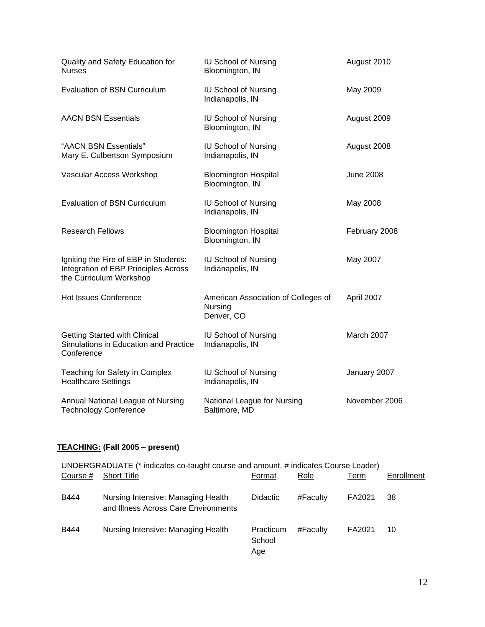| Quality and Safety Education for<br><b>Nurses</b>                                                        | <b>IU School of Nursing</b><br>Bloomington, IN               | August 2010      |
|----------------------------------------------------------------------------------------------------------|--------------------------------------------------------------|------------------|
| <b>Evaluation of BSN Curriculum</b>                                                                      | <b>IU School of Nursing</b><br>Indianapolis, IN              | May 2009         |
| <b>AACN BSN Essentials</b>                                                                               | <b>IU School of Nursing</b><br>Bloomington, IN               | August 2009      |
| "AACN BSN Essentials"<br>Mary E. Culbertson Symposium                                                    | <b>IU School of Nursing</b><br>Indianapolis, IN              | August 2008      |
| Vascular Access Workshop                                                                                 | <b>Bloomington Hospital</b><br>Bloomington, IN               | <b>June 2008</b> |
| <b>Evaluation of BSN Curriculum</b>                                                                      | <b>IU School of Nursing</b><br>Indianapolis, IN              | May 2008         |
| <b>Research Fellows</b>                                                                                  | <b>Bloomington Hospital</b><br>Bloomington, IN               | February 2008    |
| Igniting the Fire of EBP in Students:<br>Integration of EBP Principles Across<br>the Curriculum Workshop | <b>IU School of Nursing</b><br>Indianapolis, IN              | May 2007         |
| <b>Hot Issues Conference</b>                                                                             | American Association of Colleges of<br>Nursing<br>Denver, CO | April 2007       |
| <b>Getting Started with Clinical</b><br>Simulations in Education and Practice<br>Conference              | <b>IU School of Nursing</b><br>Indianapolis, IN              | March 2007       |
| Teaching for Safety in Complex<br><b>Healthcare Settings</b>                                             | <b>IU School of Nursing</b><br>Indianapolis, IN              | January 2007     |
| Annual National League of Nursing<br><b>Technology Conference</b>                                        | National League for Nursing<br>Baltimore, MD                 | November 2006    |

# **TEACHING: (Fall 2005 – present)**

| UNDERGRADUATE (* indicates co-taught course and amount, # indicates Course Leader) |                                                                            |                            |          |        |            |  |
|------------------------------------------------------------------------------------|----------------------------------------------------------------------------|----------------------------|----------|--------|------------|--|
| Course #                                                                           | <b>Short Title</b>                                                         | Format                     | Role     | Term   | Enrollment |  |
| B444                                                                               | Nursing Intensive: Managing Health<br>and Illness Across Care Environments | Didactic                   | #Faculty | FA2021 | 38         |  |
| <b>B444</b>                                                                        | Nursing Intensive: Managing Health                                         | Practicum<br>School<br>Age | #Faculty | FA2021 | 10         |  |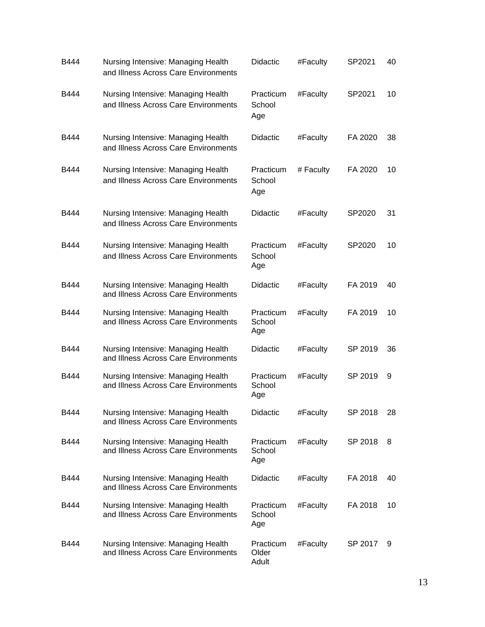| B444 | Nursing Intensive: Managing Health<br>and Illness Across Care Environments | <b>Didactic</b>             | #Faculty  | SP2021  | 40 |
|------|----------------------------------------------------------------------------|-----------------------------|-----------|---------|----|
| B444 | Nursing Intensive: Managing Health<br>and Illness Across Care Environments | Practicum<br>School<br>Age  | #Faculty  | SP2021  | 10 |
| B444 | Nursing Intensive: Managing Health<br>and Illness Across Care Environments | <b>Didactic</b>             | #Faculty  | FA 2020 | 38 |
| B444 | Nursing Intensive: Managing Health<br>and Illness Across Care Environments | Practicum<br>School<br>Age  | # Faculty | FA 2020 | 10 |
| B444 | Nursing Intensive: Managing Health<br>and Illness Across Care Environments | <b>Didactic</b>             | #Faculty  | SP2020  | 31 |
| B444 | Nursing Intensive: Managing Health<br>and Illness Across Care Environments | Practicum<br>School<br>Age  | #Faculty  | SP2020  | 10 |
| B444 | Nursing Intensive: Managing Health<br>and Illness Across Care Environments | <b>Didactic</b>             | #Faculty  | FA 2019 | 40 |
| B444 | Nursing Intensive: Managing Health<br>and Illness Across Care Environments | Practicum<br>School<br>Age  | #Faculty  | FA 2019 | 10 |
| B444 | Nursing Intensive: Managing Health<br>and Illness Across Care Environments | <b>Didactic</b>             | #Faculty  | SP 2019 | 36 |
| B444 | Nursing Intensive: Managing Health<br>and Illness Across Care Environments | Practicum<br>School<br>Age  | #Faculty  | SP 2019 | 9  |
| B444 | Nursing Intensive: Managing Health<br>and Illness Across Care Environments | Didactic                    | #Faculty  | SP 2018 | 28 |
| B444 | Nursing Intensive: Managing Health<br>and Illness Across Care Environments | Practicum<br>School<br>Age  | #Faculty  | SP 2018 | 8  |
| B444 | Nursing Intensive: Managing Health<br>and Illness Across Care Environments | <b>Didactic</b>             | #Faculty  | FA 2018 | 40 |
| B444 | Nursing Intensive: Managing Health<br>and Illness Across Care Environments | Practicum<br>School<br>Age  | #Faculty  | FA 2018 | 10 |
| B444 | Nursing Intensive: Managing Health<br>and Illness Across Care Environments | Practicum<br>Older<br>Adult | #Faculty  | SP 2017 | 9  |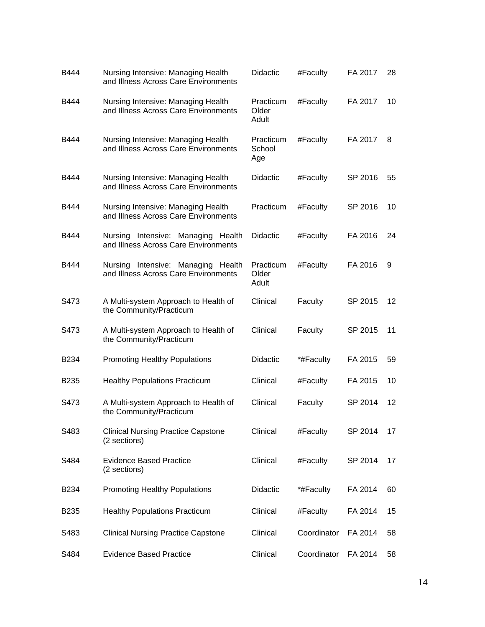| B444             | Nursing Intensive: Managing Health<br>and Illness Across Care Environments | <b>Didactic</b>             | #Faculty    | FA 2017 | 28 |
|------------------|----------------------------------------------------------------------------|-----------------------------|-------------|---------|----|
| B444             | Nursing Intensive: Managing Health<br>and Illness Across Care Environments | Practicum<br>Older<br>Adult | #Faculty    | FA 2017 | 10 |
| B444             | Nursing Intensive: Managing Health<br>and Illness Across Care Environments | Practicum<br>School<br>Age  | #Faculty    | FA 2017 | 8  |
| B444             | Nursing Intensive: Managing Health<br>and Illness Across Care Environments | <b>Didactic</b>             | #Faculty    | SP 2016 | 55 |
| B444             | Nursing Intensive: Managing Health<br>and Illness Across Care Environments | Practicum                   | #Faculty    | SP 2016 | 10 |
| B444             | Nursing Intensive: Managing Health<br>and Illness Across Care Environments | <b>Didactic</b>             | #Faculty    | FA 2016 | 24 |
| B444             | Nursing Intensive: Managing Health<br>and Illness Across Care Environments | Practicum<br>Older<br>Adult | #Faculty    | FA 2016 | 9  |
| S473             | A Multi-system Approach to Health of<br>the Community/Practicum            | Clinical                    | Faculty     | SP 2015 | 12 |
| S473             | A Multi-system Approach to Health of<br>the Community/Practicum            | Clinical                    | Faculty     | SP 2015 | 11 |
| B234             | <b>Promoting Healthy Populations</b>                                       | <b>Didactic</b>             | *#Faculty   | FA 2015 | 59 |
| B <sub>235</sub> | <b>Healthy Populations Practicum</b>                                       | Clinical                    | #Faculty    | FA 2015 | 10 |
| S473             | A Multi-system Approach to Health of<br>the Community/Practicum            | Clinical                    | Faculty     | SP 2014 | 12 |
| S483             | <b>Clinical Nursing Practice Capstone</b><br>(2 sections)                  | Clinical                    | #Faculty    | SP 2014 | 17 |
| S484             | <b>Evidence Based Practice</b><br>(2 sections)                             | Clinical                    | #Faculty    | SP 2014 | 17 |
| B234             | <b>Promoting Healthy Populations</b>                                       | <b>Didactic</b>             | *#Faculty   | FA 2014 | 60 |
| B235             | <b>Healthy Populations Practicum</b>                                       | Clinical                    | #Faculty    | FA 2014 | 15 |
| S483             | <b>Clinical Nursing Practice Capstone</b>                                  | Clinical                    | Coordinator | FA 2014 | 58 |
| S484             | <b>Evidence Based Practice</b>                                             | Clinical                    | Coordinator | FA 2014 | 58 |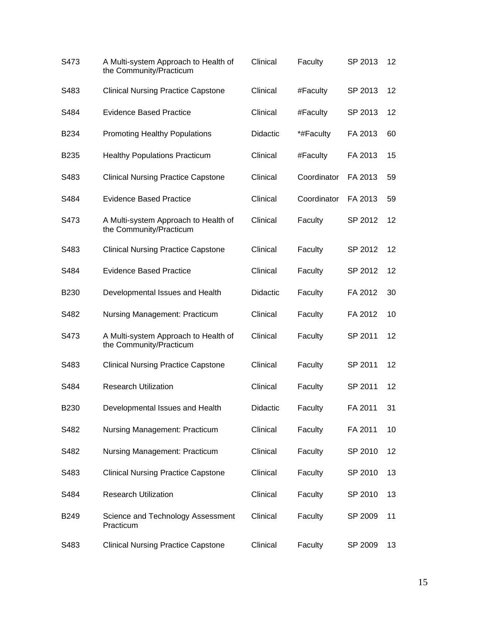| S473             | A Multi-system Approach to Health of<br>the Community/Practicum | Clinical        | Faculty     | SP 2013 | 12 |
|------------------|-----------------------------------------------------------------|-----------------|-------------|---------|----|
| S483             | <b>Clinical Nursing Practice Capstone</b>                       | Clinical        | #Faculty    | SP 2013 | 12 |
| S484             | <b>Evidence Based Practice</b>                                  | Clinical        | #Faculty    | SP 2013 | 12 |
| B <sub>234</sub> | <b>Promoting Healthy Populations</b>                            | <b>Didactic</b> | *#Faculty   | FA 2013 | 60 |
| B <sub>235</sub> | <b>Healthy Populations Practicum</b>                            | Clinical        | #Faculty    | FA 2013 | 15 |
| S483             | <b>Clinical Nursing Practice Capstone</b>                       | Clinical        | Coordinator | FA 2013 | 59 |
| S484             | <b>Evidence Based Practice</b>                                  | Clinical        | Coordinator | FA 2013 | 59 |
| S473             | A Multi-system Approach to Health of<br>the Community/Practicum | Clinical        | Faculty     | SP 2012 | 12 |
| S483             | <b>Clinical Nursing Practice Capstone</b>                       | Clinical        | Faculty     | SP 2012 | 12 |
| S484             | <b>Evidence Based Practice</b>                                  | Clinical        | Faculty     | SP 2012 | 12 |
| B <sub>230</sub> | Developmental Issues and Health                                 | <b>Didactic</b> | Faculty     | FA 2012 | 30 |
| S482             | Nursing Management: Practicum                                   | Clinical        | Faculty     | FA 2012 | 10 |
| S473             | A Multi-system Approach to Health of<br>the Community/Practicum | Clinical        | Faculty     | SP 2011 | 12 |
| S483             | <b>Clinical Nursing Practice Capstone</b>                       | Clinical        | Faculty     | SP 2011 | 12 |
| S484             | <b>Research Utilization</b>                                     | Clinical        | Faculty     | SP 2011 | 12 |
| B230             | Developmental Issues and Health                                 | Didactic        | Faculty     | FA 2011 | 31 |
| S482             | Nursing Management: Practicum                                   | Clinical        | Faculty     | FA 2011 | 10 |
| S482             | Nursing Management: Practicum                                   | Clinical        | Faculty     | SP 2010 | 12 |
| S483             | <b>Clinical Nursing Practice Capstone</b>                       | Clinical        | Faculty     | SP 2010 | 13 |
| S484             | <b>Research Utilization</b>                                     | Clinical        | Faculty     | SP 2010 | 13 |
| B249             | Science and Technology Assessment<br>Practicum                  | Clinical        | Faculty     | SP 2009 | 11 |
| S483             | <b>Clinical Nursing Practice Capstone</b>                       | Clinical        | Faculty     | SP 2009 | 13 |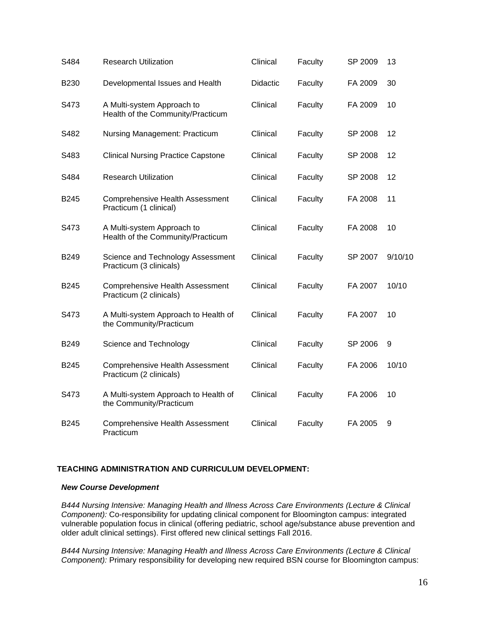| S484             | <b>Research Utilization</b>                                       | Clinical        | Faculty | SP 2009 | 13      |
|------------------|-------------------------------------------------------------------|-----------------|---------|---------|---------|
| <b>B230</b>      | Developmental Issues and Health                                   | <b>Didactic</b> | Faculty | FA 2009 | 30      |
| S473             | A Multi-system Approach to<br>Health of the Community/Practicum   | Clinical        | Faculty | FA 2009 | 10      |
| S482             | Nursing Management: Practicum                                     | Clinical        | Faculty | SP 2008 | 12      |
| S483             | <b>Clinical Nursing Practice Capstone</b>                         | Clinical        | Faculty | SP 2008 | 12      |
| S484             | <b>Research Utilization</b>                                       | Clinical        | Faculty | SP 2008 | 12      |
| <b>B245</b>      | <b>Comprehensive Health Assessment</b><br>Practicum (1 clinical)  | Clinical        | Faculty | FA 2008 | 11      |
| S473             | A Multi-system Approach to<br>Health of the Community/Practicum   | Clinical        | Faculty | FA 2008 | 10      |
| <b>B249</b>      | Science and Technology Assessment<br>Practicum (3 clinicals)      | Clinical        | Faculty | SP 2007 | 9/10/10 |
| B <sub>245</sub> | <b>Comprehensive Health Assessment</b><br>Practicum (2 clinicals) | Clinical        | Faculty | FA 2007 | 10/10   |
| S473             | A Multi-system Approach to Health of<br>the Community/Practicum   | Clinical        | Faculty | FA 2007 | 10      |
| <b>B249</b>      | Science and Technology                                            | Clinical        | Faculty | SP 2006 | 9       |
| B245             | <b>Comprehensive Health Assessment</b><br>Practicum (2 clinicals) | Clinical        | Faculty | FA 2006 | 10/10   |
| S473             | A Multi-system Approach to Health of<br>the Community/Practicum   | Clinical        | Faculty | FA 2006 | 10      |
| B <sub>245</sub> | <b>Comprehensive Health Assessment</b><br>Practicum               | Clinical        | Faculty | FA 2005 | 9       |

### **TEACHING ADMINISTRATION AND CURRICULUM DEVELOPMENT:**

#### *New Course Development*

*B444 Nursing Intensive: Managing Health and Illness Across Care Environments (Lecture & Clinical Component):* Co-responsibility for updating clinical component for Bloomington campus: integrated vulnerable population focus in clinical (offering pediatric, school age/substance abuse prevention and older adult clinical settings). First offered new clinical settings Fall 2016.

*B444 Nursing Intensive: Managing Health and Illness Across Care Environments (Lecture & Clinical Component):* Primary responsibility for developing new required BSN course for Bloomington campus: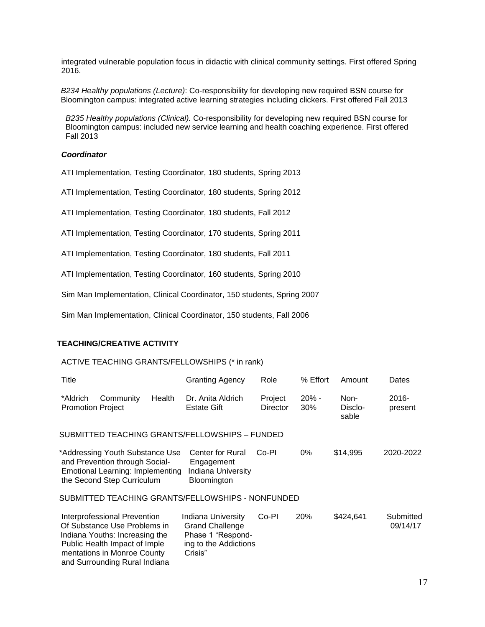integrated vulnerable population focus in didactic with clinical community settings. First offered Spring 2016.

*B234 Healthy populations (Lecture)*: Co-responsibility for developing new required BSN course for Bloomington campus: integrated active learning strategies including clickers. First offered Fall 2013

*B235 Healthy populations (Clinical).* Co-responsibility for developing new required BSN course for Bloomington campus: included new service learning and health coaching experience. First offered Fall 2013

#### *Coordinator*

ATI Implementation, Testing Coordinator, 180 students, Spring 2013

ATI Implementation, Testing Coordinator, 180 students, Spring 2012

ATI Implementation, Testing Coordinator, 180 students, Fall 2012

ATI Implementation, Testing Coordinator, 170 students, Spring 2011

ATI Implementation, Testing Coordinator, 180 students, Fall 2011

ATI Implementation, Testing Coordinator, 160 students, Spring 2010

Sim Man Implementation, Clinical Coordinator, 150 students, Spring 2007

Sim Man Implementation, Clinical Coordinator, 150 students, Fall 2006

### **TEACHING/CREATIVE ACTIVITY**

#### ACTIVE TEACHING GRANTS/FELLOWSHIPS (\* in rank)

Public Health Impact of Imple ing to the Addictions<br>mentations in Monroe County Crisis"

mentations in Monroe County and Surrounding Rural Indiana

| Title                                |                                                                                                                                     |        | <b>Granting Agency</b>                                                     | Role                | % Effort       | Amount                   | Dates                 |
|--------------------------------------|-------------------------------------------------------------------------------------------------------------------------------------|--------|----------------------------------------------------------------------------|---------------------|----------------|--------------------------|-----------------------|
| *Aldrich<br><b>Promotion Project</b> | Community                                                                                                                           | Health | Dr. Anita Aldrich<br><b>Estate Gift</b>                                    | Project<br>Director | $20% -$<br>30% | Non-<br>Disclo-<br>sable | $2016 -$<br>present   |
|                                      |                                                                                                                                     |        | SUBMITTED TEACHING GRANTS/FELLOWSHIPS - FUNDED                             |                     |                |                          |                       |
|                                      | *Addressing Youth Substance Use<br>and Prevention through Social-<br>Emotional Learning: Implementing<br>the Second Step Curriculum |        | <b>Center for Rural</b><br>Engagement<br>Indiana University<br>Bloomington | Co-Pl               | 0%             | \$14,995                 | 2020-2022             |
|                                      |                                                                                                                                     |        | SUBMITTED TEACHING GRANTS/FELLOWSHIPS - NONFUNDED                          |                     |                |                          |                       |
|                                      | Interprofessional Prevention<br>Of Substance Use Problems in<br>Indiana Youths: Increasing the                                      |        | Indiana University<br><b>Grand Challenge</b><br>Phase 1 "Respond-          | Co-PI               | 20%            | \$424,641                | Submitted<br>09/14/17 |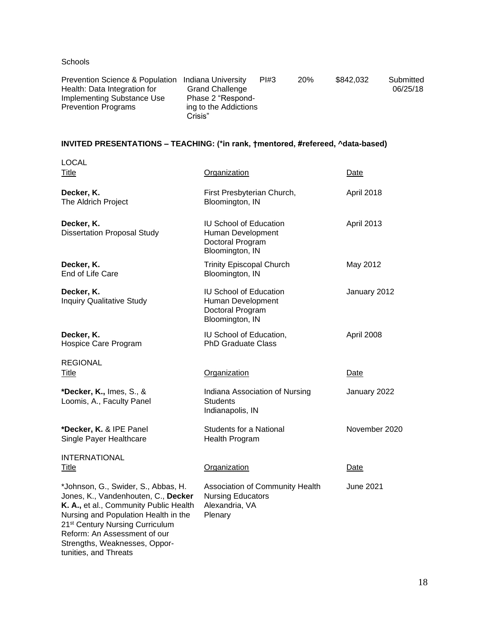**Schools** 

tunities, and Threats

| Prevention Science & Population Indiana University |                        | PI#3 | <b>20%</b> | \$842.032 | Submitted |
|----------------------------------------------------|------------------------|------|------------|-----------|-----------|
| Health: Data Integration for                       | <b>Grand Challenge</b> |      |            |           | 06/25/18  |
| Implementing Substance Use                         | Phase 2 "Respond-      |      |            |           |           |
| <b>Prevention Programs</b>                         | ing to the Addictions  |      |            |           |           |
|                                                    | Crisis"                |      |            |           |           |

# **INVITED PRESENTATIONS – TEACHING: (\*in rank, †mentored, #refereed, ^data-based)**

| <b>LOCAL</b><br>Title                                                                                                                                                                                                                                                        | Organization                                                                              | Date              |
|------------------------------------------------------------------------------------------------------------------------------------------------------------------------------------------------------------------------------------------------------------------------------|-------------------------------------------------------------------------------------------|-------------------|
| Decker, K.<br>The Aldrich Project                                                                                                                                                                                                                                            | First Presbyterian Church,<br>Bloomington, IN                                             | April 2018        |
| Decker, K.<br><b>Dissertation Proposal Study</b>                                                                                                                                                                                                                             | <b>IU School of Education</b><br>Human Development<br>Doctoral Program<br>Bloomington, IN | <b>April 2013</b> |
| Decker, K.<br>End of Life Care                                                                                                                                                                                                                                               | <b>Trinity Episcopal Church</b><br>Bloomington, IN                                        | May 2012          |
| Decker, K.<br><b>Inquiry Qualitative Study</b>                                                                                                                                                                                                                               | <b>IU School of Education</b><br>Human Development<br>Doctoral Program<br>Bloomington, IN | January 2012      |
| Decker, K.<br>Hospice Care Program                                                                                                                                                                                                                                           | IU School of Education,<br><b>PhD Graduate Class</b>                                      | April 2008        |
| <b>REGIONAL</b><br>Title                                                                                                                                                                                                                                                     | Organization                                                                              | Date              |
| *Decker, K., Imes, S., &<br>Loomis, A., Faculty Panel                                                                                                                                                                                                                        | Indiana Association of Nursing<br><b>Students</b><br>Indianapolis, IN                     | January 2022      |
| *Decker, K. & IPE Panel<br>Single Payer Healthcare                                                                                                                                                                                                                           | <b>Students for a National</b><br>Health Program                                          | November 2020     |
| <b>INTERNATIONAL</b><br><b>Title</b>                                                                                                                                                                                                                                         | Organization                                                                              | Date              |
| *Johnson, G., Swider, S., Abbas, H.<br>Jones, K., Vandenhouten, C., Decker<br>K. A., et al., Community Public Health<br>Nursing and Population Health in the<br>21 <sup>st</sup> Century Nursing Curriculum<br>Reform: An Assessment of our<br>Strengths, Weaknesses, Oppor- | Association of Community Health<br><b>Nursing Educators</b><br>Alexandria, VA<br>Plenary  | <b>June 2021</b>  |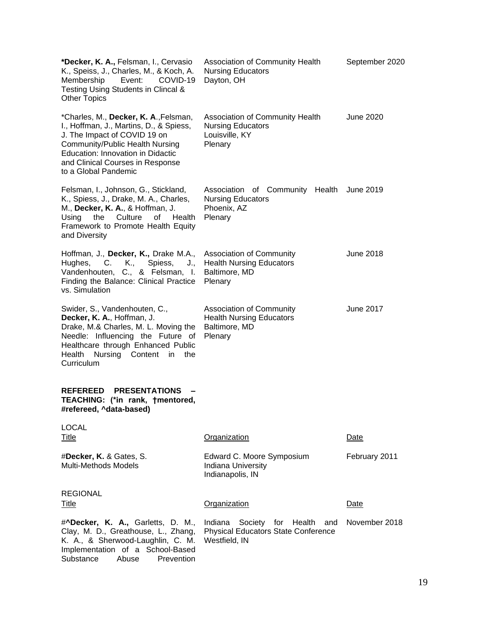| *Decker, K. A., Felsman, I., Cervasio<br>K., Speiss, J., Charles, M., & Koch, A.<br>Membership<br>COVID-19<br>Event:<br>Testing Using Students in Clincal &<br><b>Other Topics</b>                                                                   | Association of Community Health<br><b>Nursing Educators</b><br>Dayton, OH                      | September 2020   |
|------------------------------------------------------------------------------------------------------------------------------------------------------------------------------------------------------------------------------------------------------|------------------------------------------------------------------------------------------------|------------------|
| *Charles, M., Decker, K. A., Felsman,<br>I., Hoffman, J., Martins, D., & Spiess,<br>J. The Impact of COVID 19 on<br>Community/Public Health Nursing<br>Education: Innovation in Didactic<br>and Clinical Courses in Response<br>to a Global Pandemic | Association of Community Health<br><b>Nursing Educators</b><br>Louisville, KY<br>Plenary       | <b>June 2020</b> |
| Felsman, I., Johnson, G., Stickland,<br>K., Spiess, J., Drake, M. A., Charles,<br>M., Decker, K. A., & Hoffman, J.<br>Using<br>the<br>Culture<br>0f<br>Health<br>Framework to Promote Health Equity<br>and Diversity                                 | Association of Community Health<br><b>Nursing Educators</b><br>Phoenix, AZ<br>Plenary          | June 2019        |
| Hoffman, J., Decker, K., Drake M.A.,<br>Hughes,<br>C.<br>K.,<br>Spiess,<br>J.,<br>Vandenhouten, C., & Felsman, I.<br>Finding the Balance: Clinical Practice<br>vs. Simulation                                                                        | <b>Association of Community</b><br><b>Health Nursing Educators</b><br>Baltimore, MD<br>Plenary | June 2018        |
| Swider, S., Vandenhouten, C.,<br>Decker, K. A., Hoffman, J.<br>Drake, M.& Charles, M. L. Moving the<br>Needle: Influencing the Future of<br>Healthcare through Enhanced Public<br>Health<br>Nursing Content in<br>the<br>Curriculum                  | <b>Association of Community</b><br><b>Health Nursing Educators</b><br>Baltimore, MD<br>Plenary | June 2017        |
| <b>REFEREED</b><br><b>PRESENTATIONS</b><br>TEACHING: (*in rank, †mentored,<br>#refereed, ^data-based)                                                                                                                                                |                                                                                                |                  |
| <b>LOCAL</b><br>Title                                                                                                                                                                                                                                | <b>Organization</b>                                                                            | Date             |
| #Decker, K. & Gates, S.<br><b>Multi-Methods Models</b>                                                                                                                                                                                               | Edward C. Moore Symposium<br>Indiana University<br>Indianapolis, IN                            | February 2011    |
| <b>REGIONAL</b><br>Title                                                                                                                                                                                                                             | Organization                                                                                   | Date             |
| # <b>^Decker, K. A., Garletts, D. M.,</b>                                                                                                                                                                                                            | Indiana Society for Health<br>and                                                              | November 2018    |
| Clay, M. D., Greathouse, L., Zhang,<br>K. A., & Sherwood-Laughlin, C. M.<br>Implementation of a School-Based<br>Substance<br>Prevention<br>Abuse                                                                                                     | <b>Physical Educators State Conference</b><br>Westfield, IN                                    |                  |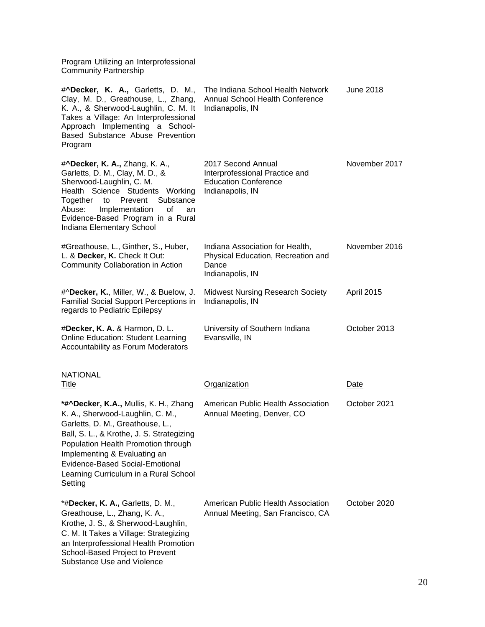Program Utilizing an Interprofessional Community Partnership

| # <b>^Decker, K. A., Garletts, D. M.,</b><br>Clay, M. D., Greathouse, L., Zhang,<br>K. A., & Sherwood-Laughlin, C. M. It<br>Takes a Village: An Interprofessional<br>Approach Implementing a School-<br>Based Substance Abuse Prevention<br>Program                                                                      | The Indiana School Health Network<br>Annual School Health Conference<br>Indianapolis, IN                | June 2018     |
|--------------------------------------------------------------------------------------------------------------------------------------------------------------------------------------------------------------------------------------------------------------------------------------------------------------------------|---------------------------------------------------------------------------------------------------------|---------------|
| #^Decker, K. A., Zhang, K. A.,<br>Garletts, D. M., Clay, M. D., &<br>Sherwood-Laughlin, C. M.<br>Health Science Students Working<br>Substance<br>Prevent<br>Together<br>to<br>Abuse:<br>Implementation<br>οf<br>an<br>Evidence-Based Program in a Rural<br>Indiana Elementary School                                     | 2017 Second Annual<br>Interprofessional Practice and<br><b>Education Conference</b><br>Indianapolis, IN | November 2017 |
| #Greathouse, L., Ginther, S., Huber,<br>L. & Decker, K. Check It Out:<br>Community Collaboration in Action                                                                                                                                                                                                               | Indiana Association for Health,<br>Physical Education, Recreation and<br>Dance<br>Indianapolis, IN      | November 2016 |
| #^Decker, K., Miller, W., & Buelow, J.<br><b>Familial Social Support Perceptions in</b><br>regards to Pediatric Epilepsy                                                                                                                                                                                                 | <b>Midwest Nursing Research Society</b><br>Indianapolis, IN                                             | April 2015    |
| #Decker, K. A. & Harmon, D. L.<br><b>Online Education: Student Learning</b><br>Accountability as Forum Moderators                                                                                                                                                                                                        | University of Southern Indiana<br>Evansville, IN                                                        | October 2013  |
| <b>NATIONAL</b><br><u>Title</u>                                                                                                                                                                                                                                                                                          | Organization                                                                                            | Date          |
| *#^Decker, K.A., Mullis, K. H., Zhang<br>K. A., Sherwood-Laughlin, C. M.,<br>Garletts, D. M., Greathouse, L.,<br>Ball, S. L., & Krothe, J. S. Strategizing<br>Population Health Promotion through<br>Implementing & Evaluating an<br>Evidence-Based Social-Emotional<br>Learning Curriculum in a Rural School<br>Setting | American Public Health Association<br>Annual Meeting, Denver, CO                                        | October 2021  |
| *#Decker, K. A., Garletts, D. M.,<br>Greathouse, L., Zhang, K. A.,<br>Krothe, J. S., & Sherwood-Laughlin,<br>C. M. It Takes a Village: Strategizing<br>an Interprofessional Health Promotion<br>School-Based Project to Prevent<br>Substance Use and Violence                                                            | American Public Health Association<br>Annual Meeting, San Francisco, CA                                 | October 2020  |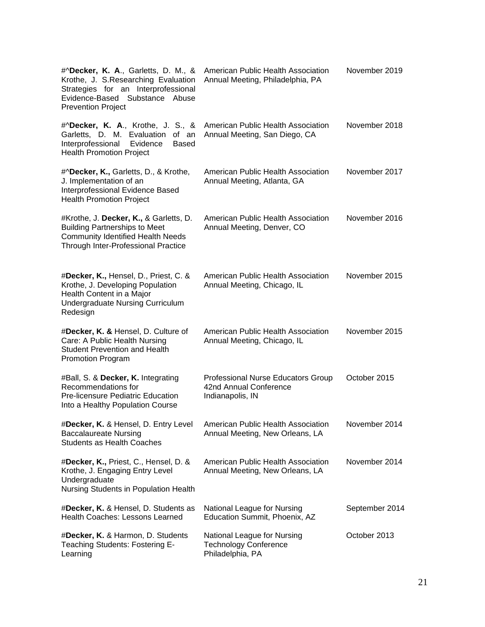| #^Decker, K. A., Garletts, D. M., &<br>Krothe, J. S.Researching Evaluation<br>Strategies for an Interprofessional<br>Evidence-Based Substance Abuse<br><b>Prevention Project</b> | American Public Health Association<br>Annual Meeting, Philadelphia, PA                  | November 2019  |
|----------------------------------------------------------------------------------------------------------------------------------------------------------------------------------|-----------------------------------------------------------------------------------------|----------------|
| #^Decker, K. A., Krothe, J. S., &<br>Garletts, D. M. Evaluation<br>of an<br>Interprofessional<br>Evidence<br><b>Based</b><br><b>Health Promotion Project</b>                     | American Public Health Association<br>Annual Meeting, San Diego, CA                     | November 2018  |
| #^Decker, K., Garletts, D., & Krothe,<br>J. Implementation of an<br>Interprofessional Evidence Based<br><b>Health Promotion Project</b>                                          | American Public Health Association<br>Annual Meeting, Atlanta, GA                       | November 2017  |
| #Krothe, J. Decker, K., & Garletts, D.<br><b>Building Partnerships to Meet</b><br><b>Community Identified Health Needs</b><br>Through Inter-Professional Practice                | American Public Health Association<br>Annual Meeting, Denver, CO                        | November 2016  |
| #Decker, K., Hensel, D., Priest, C. &<br>Krothe, J. Developing Population<br>Health Content in a Major<br><b>Undergraduate Nursing Curriculum</b><br>Redesign                    | American Public Health Association<br>Annual Meeting, Chicago, IL                       | November 2015  |
| #Decker, K. & Hensel, D. Culture of<br>Care: A Public Health Nursing<br><b>Student Prevention and Health</b><br><b>Promotion Program</b>                                         | American Public Health Association<br>Annual Meeting, Chicago, IL                       | November 2015  |
| #Ball, S. & Decker, K. Integrating<br>Recommendations for<br><b>Pre-licensure Pediatric Education</b><br>Into a Healthy Population Course                                        | <b>Professional Nurse Educators Group</b><br>42nd Annual Conference<br>Indianapolis, IN | October 2015   |
| #Decker, K. & Hensel, D. Entry Level<br><b>Baccalaureate Nursing</b><br><b>Students as Health Coaches</b>                                                                        | American Public Health Association<br>Annual Meeting, New Orleans, LA                   | November 2014  |
| #Decker, K., Priest, C., Hensel, D. &<br>Krothe, J. Engaging Entry Level<br>Undergraduate<br>Nursing Students in Population Health                                               | American Public Health Association<br>Annual Meeting, New Orleans, LA                   | November 2014  |
| #Decker, K. & Hensel, D. Students as<br><b>Health Coaches: Lessons Learned</b>                                                                                                   | National League for Nursing<br>Education Summit, Phoenix, AZ                            | September 2014 |
| #Decker, K. & Harmon, D. Students<br>Teaching Students: Fostering E-<br>Learning                                                                                                 | National League for Nursing<br><b>Technology Conference</b><br>Philadelphia, PA         | October 2013   |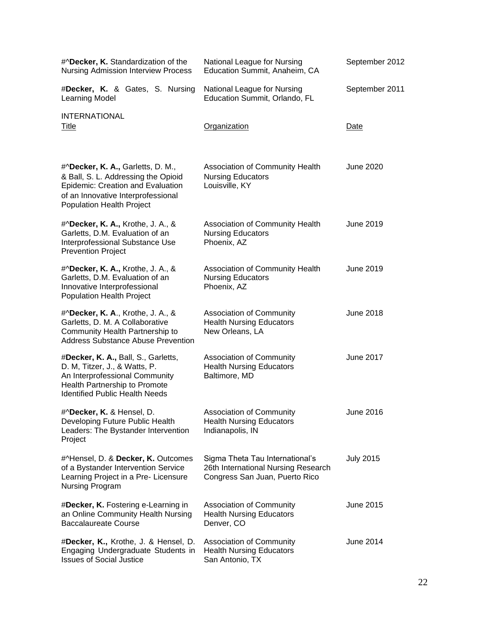| #^Decker, K. Standardization of the<br><b>Nursing Admission Interview Process</b>                                                                                                       | National League for Nursing<br>Education Summit, Anaheim, CA                                             | September 2012   |
|-----------------------------------------------------------------------------------------------------------------------------------------------------------------------------------------|----------------------------------------------------------------------------------------------------------|------------------|
| #Decker, K. & Gates, S. Nursing<br>Learning Model                                                                                                                                       | National League for Nursing<br>Education Summit, Orlando, FL                                             | September 2011   |
| <b>INTERNATIONAL</b><br>Title                                                                                                                                                           | Organization                                                                                             | Date             |
| #^Decker, K. A., Garletts, D. M.,<br>& Ball, S. L. Addressing the Opioid<br>Epidemic: Creation and Evaluation<br>of an Innovative Interprofessional<br><b>Population Health Project</b> | Association of Community Health<br><b>Nursing Educators</b><br>Louisville, KY                            | June 2020        |
| #^Decker, K. A., Krothe, J. A., &<br>Garletts, D.M. Evaluation of an<br>Interprofessional Substance Use<br><b>Prevention Project</b>                                                    | Association of Community Health<br><b>Nursing Educators</b><br>Phoenix, AZ                               | June 2019        |
| #^Decker, K. A., Krothe, J. A., &<br>Garletts, D.M. Evaluation of an<br>Innovative Interprofessional<br><b>Population Health Project</b>                                                | Association of Community Health<br><b>Nursing Educators</b><br>Phoenix, AZ                               | <b>June 2019</b> |
| #^Decker, K. A., Krothe, J. A., &<br>Garletts, D. M. A Collaborative<br>Community Health Partnership to<br><b>Address Substance Abuse Prevention</b>                                    | Association of Community<br><b>Health Nursing Educators</b><br>New Orleans, LA                           | <b>June 2018</b> |
| #Decker, K. A., Ball, S., Garletts,<br>D. M, Titzer, J., & Watts, P.<br>An Interprofessional Community<br>Health Partnership to Promote<br><b>Identified Public Health Needs</b>        | <b>Association of Community</b><br><b>Health Nursing Educators</b><br>Baltimore, MD                      | <b>June 2017</b> |
| #^Decker, K. & Hensel, D.<br>Developing Future Public Health<br>Leaders: The Bystander Intervention<br>Project                                                                          | <b>Association of Community</b><br><b>Health Nursing Educators</b><br>Indianapolis, IN                   | June 2016        |
| #^Hensel, D. & Decker, K. Outcomes<br>of a Bystander Intervention Service<br>Learning Project in a Pre- Licensure<br>Nursing Program                                                    | Sigma Theta Tau International's<br>26th International Nursing Research<br>Congress San Juan, Puerto Rico | <b>July 2015</b> |
| #Decker, K. Fostering e-Learning in<br>an Online Community Health Nursing<br><b>Baccalaureate Course</b>                                                                                | <b>Association of Community</b><br><b>Health Nursing Educators</b><br>Denver, CO                         | June 2015        |
| #Decker, K., Krothe, J. & Hensel, D.<br>Engaging Undergraduate Students in<br><b>Issues of Social Justice</b>                                                                           | Association of Community<br><b>Health Nursing Educators</b><br>San Antonio, TX                           | <b>June 2014</b> |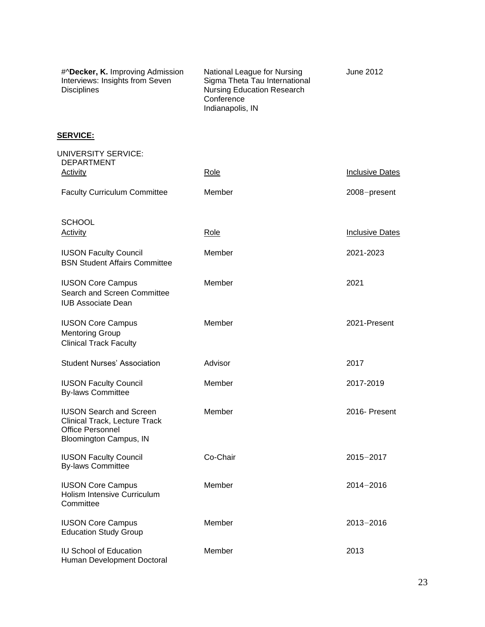| #^Decker, K. Improving Admission<br>Interviews: Insights from Seven<br><b>Disciplines</b> | National League for Nursing<br>Sigma Theta Tau International<br><b>Nursing Education Research</b><br>Conference<br>Indianapolis, IN | June 2012 |
|-------------------------------------------------------------------------------------------|-------------------------------------------------------------------------------------------------------------------------------------|-----------|
|-------------------------------------------------------------------------------------------|-------------------------------------------------------------------------------------------------------------------------------------|-----------|

# **SERVICE:**

| UNIVERSITY SERVICE:<br><b>DEPARTMENT</b>                                                                             |          |                        |
|----------------------------------------------------------------------------------------------------------------------|----------|------------------------|
| Activity                                                                                                             | Role     | <b>Inclusive Dates</b> |
| <b>Faculty Curriculum Committee</b>                                                                                  | Member   | 2008-present           |
| <b>SCHOOL</b><br><b>Activity</b>                                                                                     | Role     | <b>Inclusive Dates</b> |
| <b>IUSON Faculty Council</b><br><b>BSN Student Affairs Committee</b>                                                 | Member   | 2021-2023              |
| <b>IUSON Core Campus</b><br>Search and Screen Committee<br><b>IUB Associate Dean</b>                                 | Member   | 2021                   |
| <b>IUSON Core Campus</b><br><b>Mentoring Group</b><br><b>Clinical Track Faculty</b>                                  | Member   | 2021-Present           |
| <b>Student Nurses' Association</b>                                                                                   | Advisor  | 2017                   |
| <b>IUSON Faculty Council</b><br><b>By-laws Committee</b>                                                             | Member   | 2017-2019              |
| <b>IUSON Search and Screen</b><br>Clinical Track, Lecture Track<br><b>Office Personnel</b><br>Bloomington Campus, IN | Member   | 2016- Present          |
| <b>IUSON Faculty Council</b><br><b>By-laws Committee</b>                                                             | Co-Chair | $2015 - 2017$          |
| <b>IUSON Core Campus</b><br>Holism Intensive Curriculum<br>Committee                                                 | Member   | $2014 - 2016$          |
| <b>IUSON Core Campus</b><br><b>Education Study Group</b>                                                             | Member   | 2013-2016              |
| <b>IU School of Education</b><br>Human Development Doctoral                                                          | Member   | 2013                   |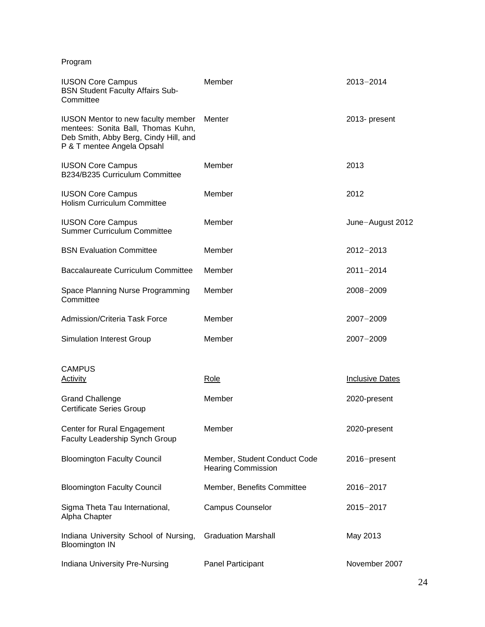Program

| <b>IUSON Core Campus</b><br><b>BSN Student Faculty Affairs Sub-</b><br>Committee                                                                       | Member                                                    | 2013-2014              |
|--------------------------------------------------------------------------------------------------------------------------------------------------------|-----------------------------------------------------------|------------------------|
| <b>IUSON Mentor to new faculty member</b><br>mentees: Sonita Ball, Thomas Kuhn,<br>Deb Smith, Abby Berg, Cindy Hill, and<br>P & T mentee Angela Opsahl | Menter                                                    | 2013- present          |
| <b>IUSON Core Campus</b><br>B234/B235 Curriculum Committee                                                                                             | Member                                                    | 2013                   |
| <b>IUSON Core Campus</b><br><b>Holism Curriculum Committee</b>                                                                                         | Member                                                    | 2012                   |
| <b>IUSON Core Campus</b><br><b>Summer Curriculum Committee</b>                                                                                         | Member                                                    | June-August 2012       |
| <b>BSN Evaluation Committee</b>                                                                                                                        | Member                                                    | $2012 - 2013$          |
| Baccalaureate Curriculum Committee                                                                                                                     | Member                                                    | $2011 - 2014$          |
| Space Planning Nurse Programming<br>Committee                                                                                                          | Member                                                    | $2008 - 2009$          |
| Admission/Criteria Task Force                                                                                                                          | Member                                                    | $2007 - 2009$          |
| <b>Simulation Interest Group</b>                                                                                                                       | Member                                                    | $2007 - 2009$          |
| <b>CAMPUS</b><br><b>Activity</b>                                                                                                                       | Role                                                      | <b>Inclusive Dates</b> |
| <b>Grand Challenge</b><br>Certificate Series Group                                                                                                     | Member                                                    | 2020-present           |
| Center for Rural Engagement<br>Faculty Leadership Synch Group                                                                                          | Member                                                    | 2020-present           |
| <b>Bloomington Faculty Council</b>                                                                                                                     | Member, Student Conduct Code<br><b>Hearing Commission</b> | 2016-present           |
| <b>Bloomington Faculty Council</b>                                                                                                                     | Member, Benefits Committee                                | 2016-2017              |
| Sigma Theta Tau International,<br>Alpha Chapter                                                                                                        | <b>Campus Counselor</b>                                   | 2015-2017              |
| Indiana University School of Nursing,<br><b>Bloomington IN</b>                                                                                         | <b>Graduation Marshall</b>                                | May 2013               |
| Indiana University Pre-Nursing                                                                                                                         | Panel Participant                                         | November 2007          |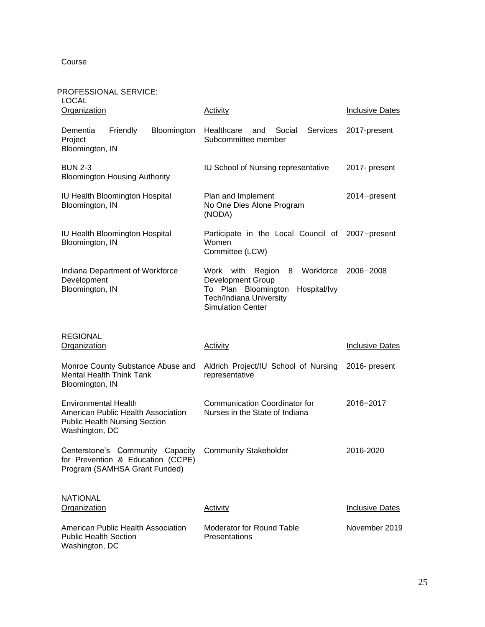Course

#### PROFESSIONAL SERVICE:

| <b>LOCAL</b><br>Organization                                                                                                | <b>Activity</b>                                                                                                                                                           | <b>Inclusive Dates</b> |
|-----------------------------------------------------------------------------------------------------------------------------|---------------------------------------------------------------------------------------------------------------------------------------------------------------------------|------------------------|
| Bloomington<br>Dementia<br>Friendly<br>Project<br>Bloomington, IN                                                           | Healthcare<br>Social<br>Services<br>and<br>Subcommittee member                                                                                                            | 2017-present           |
| <b>BUN 2-3</b><br><b>Bloomington Housing Authority</b>                                                                      | IU School of Nursing representative                                                                                                                                       | 2017- present          |
| IU Health Bloomington Hospital<br>Bloomington, IN                                                                           | Plan and Implement<br>No One Dies Alone Program<br>(NODA)                                                                                                                 | 2014-present           |
| IU Health Bloomington Hospital<br>Bloomington, IN                                                                           | Participate in the Local Council of<br>Women<br>Committee (LCW)                                                                                                           | 2007-present           |
| Indiana Department of Workforce<br>Development<br>Bloomington, IN                                                           | Workforce<br>Work<br>with<br>Region<br>8<br><b>Development Group</b><br>To Plan Bloomington<br>Hospital/Ivy<br><b>Tech/Indiana University</b><br><b>Simulation Center</b> | $2006 - 2008$          |
| <b>REGIONAL</b><br><b>Organization</b>                                                                                      | <b>Activity</b>                                                                                                                                                           | <b>Inclusive Dates</b> |
| Monroe County Substance Abuse and<br><b>Mental Health Think Tank</b><br>Bloomington, IN                                     | Aldrich Project/IU School of Nursing<br>representative                                                                                                                    | 2016- present          |
| <b>Environmental Health</b><br>American Public Health Association<br><b>Public Health Nursing Section</b><br>Washington, DC | <b>Communication Coordinator for</b><br>Nurses in the State of Indiana                                                                                                    | 2016-2017              |
| Centerstone's Community Capacity<br>for Prevention & Education (CCPE)<br>Program (SAMHSA Grant Funded)                      | <b>Community Stakeholder</b>                                                                                                                                              | 2016-2020              |
| <b>NATIONAL</b><br>Organization                                                                                             | <b>Activity</b>                                                                                                                                                           | <b>Inclusive Dates</b> |
| American Public Health Association<br><b>Public Health Section</b><br>Washington, DC                                        | Moderator for Round Table<br>Presentations                                                                                                                                | November 2019          |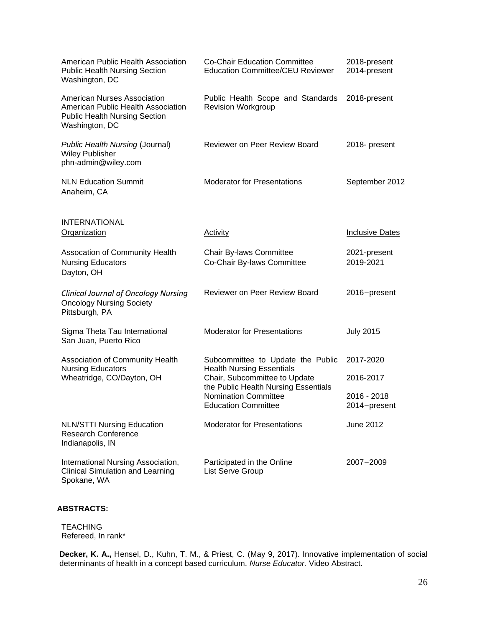| American Public Health Association<br><b>Public Health Nursing Section</b><br>Washington, DC                                       | <b>Co-Chair Education Committee</b><br><b>Education Committee/CEU Reviewer</b>                                                                                         | 2018-present<br>2014-present |
|------------------------------------------------------------------------------------------------------------------------------------|------------------------------------------------------------------------------------------------------------------------------------------------------------------------|------------------------------|
| <b>American Nurses Association</b><br>American Public Health Association<br><b>Public Health Nursing Section</b><br>Washington, DC | Public Health Scope and Standards<br><b>Revision Workgroup</b>                                                                                                         | 2018-present                 |
| Public Health Nursing (Journal)<br><b>Wiley Publisher</b><br>phn-admin@wiley.com                                                   | <b>Reviewer on Peer Review Board</b>                                                                                                                                   | 2018- present                |
| <b>NLN Education Summit</b><br>Anaheim, CA                                                                                         | <b>Moderator for Presentations</b>                                                                                                                                     | September 2012               |
| <b>INTERNATIONAL</b><br><b>Organization</b>                                                                                        | <b>Activity</b>                                                                                                                                                        | <b>Inclusive Dates</b>       |
| Assocation of Community Health<br><b>Nursing Educators</b><br>Dayton, OH                                                           | Chair By-laws Committee<br>Co-Chair By-laws Committee                                                                                                                  | 2021-present<br>2019-2021    |
| <b>Clinical Journal of Oncology Nursing</b><br><b>Oncology Nursing Society</b><br>Pittsburgh, PA                                   | <b>Reviewer on Peer Review Board</b>                                                                                                                                   | 2016-present                 |
| Sigma Theta Tau International<br>San Juan, Puerto Rico                                                                             | <b>Moderator for Presentations</b>                                                                                                                                     | <b>July 2015</b>             |
| Association of Community Health<br><b>Nursing Educators</b><br>Wheatridge, CO/Dayton, OH                                           | Subcommittee to Update the Public                                                                                                                                      | 2017-2020                    |
|                                                                                                                                    | <b>Health Nursing Essentials</b><br>Chair, Subcommittee to Update<br>the Public Health Nursing Essentials<br><b>Nomination Committee</b><br><b>Education Committee</b> | 2016-2017                    |
|                                                                                                                                    |                                                                                                                                                                        | 2016 - 2018<br>2014-present  |
| <b>NLN/STTI Nursing Education</b><br><b>Research Conference</b><br>Indianapolis, IN                                                | <b>Moderator for Presentations</b>                                                                                                                                     | June 2012                    |
| International Nursing Association,<br><b>Clinical Simulation and Learning</b><br>Spokane, WA                                       | Participated in the Online<br>List Serve Group                                                                                                                         | $2007 - 2009$                |

#### **ABSTRACTS:**

TEACHING Refereed, In rank\*

**Decker, K. A.,** Hensel, D., Kuhn, T. M., & Priest, C. (May 9, 2017). Innovative implementation of social determinants of health in a concept based curriculum. *Nurse Educator.* Video Abstract.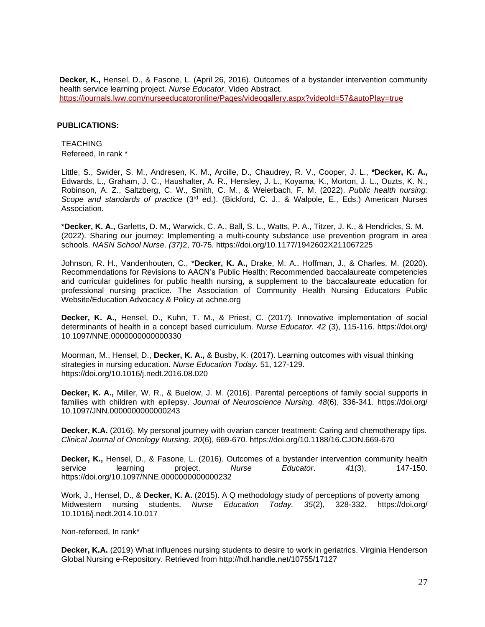**Decker, K.,** Hensel, D., & Fasone, L. (April 26, 2016). Outcomes of a bystander intervention community health service learning project. *Nurse Educator*. Video Abstract. <https://journals.lww.com/nurseeducatoronline/Pages/videogallery.aspx?videoId=57&autoPlay=true>

#### **PUBLICATIONS:**

**TEACHING** Refereed, In rank \*

Little, S., Swider, S. M., Andresen, K. M., Arcille, D., Chaudrey, R. V., Cooper, J. L., **\*Decker, K. A.,**  Edwards, L., Graham, J. C., Haushalter, A. R., Hensley, J. L., Koyama, K., Morton, J. L., Ouzts, K. N., Robinson, A. Z., Saltzberg, C. W., Smith, C. M., & Weierbach, F. M. (2022). *Public health nursing: Scope and standards of practice* (3rd ed.). (Bickford, C. J., & Walpole, E., Eds.) American Nurses Association.

\***Decker, K. A.,** Garletts, D. M., Warwick, C. A., Ball, S. L., Watts, P. A., Titzer, J. K., & Hendricks, S. M. (2022). Sharing our journey: Implementing a multi-county substance use prevention program in area schools. *NASN School Nurse*. *(37)*2, 70-75. https://[doi.org/10.1177/1942602X211067225](https://doi.org/10.1177%2F1942602X211067225)

Johnson, R. H., Vandenhouten, C., \***Decker, K. A.,** Drake, M. A., Hoffman, J., & Charles, M. (2020). Recommendations for Revisions to AACN's Public Health: Recommended baccalaureate competencies and curricular guidelines for public health nursing, a supplement to the baccalaureate education for professional nursing practice. The Association of Community Health Nursing Educators Public Website/Education Advocacy & Policy at achne.org

**Decker, K. A.,** Hensel, D., Kuhn, T. M., & Priest, C. (2017). Innovative implementation of social determinants of health in a concept based curriculum. *Nurse Educator. 42* (3), 115-116. https://doi.org/ 10.1097/NNE.0000000000000330

Moorman, M., Hensel, D., **Decker, K. A.,** & Busby, K. (2017). Learning outcomes with visual thinking strategies in nursing education. *Nurse Education Today.* 51, 127-129. https://doi.org/10.1016/j.nedt.2016.08.020

**Decker, K. A.,** Miller, W. R., & Buelow, J. M. (2016). Parental perceptions of family social supports in families with children with epilepsy. *Journal of Neuroscience Nursing. 48*(6), 336-341. https://doi.org/ [10.1097/JNN.0000000000000243](http://dx.doi.org/10.1097/JNN.0000000000000243)

**Decker, K.A.** (2016). My personal journey with ovarian cancer treatment: Caring and chemotherapy tips. *Clinical Journal of Oncology Nursing. 20*(6), 669-670. https://doi.org[/10.1188/16.CJON.669-670](https://doi.org/10.1188/16.CJON.669-670)

**Decker, K.,** Hensel, D., & Fasone, L. (2016). Outcomes of a bystander intervention community health service learning project. *Nurse Educator*. *41*(3), 147-150. https://doi.org/10.1097/NNE.0000000000000232

Work, J., Hensel, D., & **Decker, K. A.** (2015). A Q methodology study of perceptions of poverty among Midwestern nursing students. *Nurse Education Today. 35*(2), 328-332. https://doi.org/ [10.1016/j.nedt.2014.10.017](https://doi.org/10.1016/j.nedt.2014.10.017)

Non-refereed, In rank\*

Decker, K.A. (2019) What influences nursing students to desire to work in geriatrics. Virginia Henderson Global Nursing e-Repository. Retrieved from<http://hdl.handle.net/10755/17127>